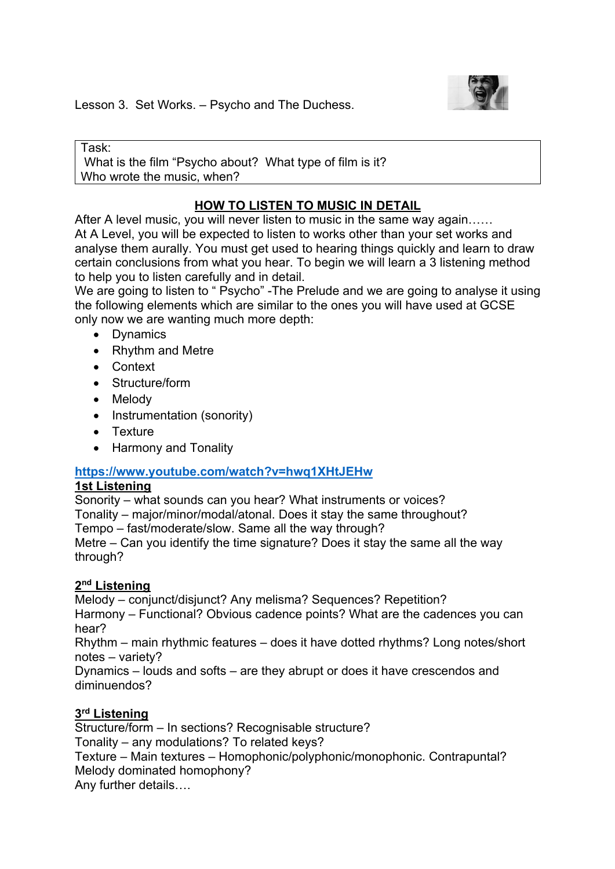

Lesson 3. Set Works. – Psycho and The Duchess.

Task: What is the film "Psycho about? What type of film is it? Who wrote the music, when?

# **HOW TO LISTEN TO MUSIC IN DETAIL**

After A level music, you will never listen to music in the same way again...... At A Level, you will be expected to listen to works other than your set works and analyse them aurally. You must get used to hearing things quickly and learn to draw certain conclusions from what you hear. To begin we will learn a 3 listening method to help you to listen carefully and in detail.

We are going to listen to " Psycho" -The Prelude and we are going to analyse it using the following elements which are similar to the ones you will have used at GCSE only now we are wanting much more depth:

- Dynamics
- Rhythm and Metre
- Context
- Structure/form
- Melody
- Instrumentation (sonority)
- Texture
- Harmony and Tonality

### **https://www.youtube.com/watch?v=hwq1XHtJEHw**

### **1st Listening**

Sonority – what sounds can you hear? What instruments or voices?

Tonality – major/minor/modal/atonal. Does it stay the same throughout?

Tempo – fast/moderate/slow. Same all the way through?

Metre – Can you identify the time signature? Does it stay the same all the way through?

### **2nd Listening**

Melody – conjunct/disjunct? Any melisma? Sequences? Repetition?

Harmony – Functional? Obvious cadence points? What are the cadences you can hear?

Rhythm – main rhythmic features – does it have dotted rhythms? Long notes/short notes – variety?

Dynamics – louds and softs – are they abrupt or does it have crescendos and diminuendos?

## **3rd Listening**

Structure/form – In sections? Recognisable structure? Tonality – any modulations? To related keys? Texture – Main textures – Homophonic/polyphonic/monophonic. Contrapuntal? Melody dominated homophony? Any further details….